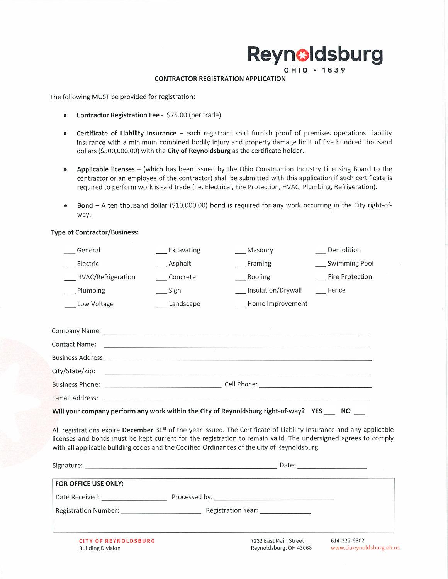# Reynoldsburg

#### **CONTRACTOR REGISTRATION APPLICATION**

The following MUST be provided for registration:

- Contractor Registration Fee \$75.00 (per trade)  $\bullet$
- Certificate of Liability Insurance each registrant shall furnish proof of premises operations Liability insurance with a minimum combined bodily injury and property damage limit of five hundred thousand dollars (\$500,000.00) with the City of Reynoldsburg as the certificate holder.
- Applicable licenses (which has been issued by the Ohio Construction Industry Licensing Board to the  $\bullet$ contractor or an employee of the contractor) shall be submitted with this application if such certificate is required to perform work is said trade (i.e. Electrical, Fire Protection, HVAC, Plumbing, Refrigeration).
- Bond A ten thousand dollar (\$10,000.00) bond is required for any work occurring in the City right-of- $\bullet$ way.

### **Type of Contractor/Business:**

| Swimming Pool<br>Asphalt<br>Framing<br>Electric<br>Fire Protection<br>Concrete<br>Roofing<br>HVAC/Refrigeration<br>Insulation/Drywall<br>__ Plumbing<br>__ Sign<br>Fence<br>Home Improvement<br>Low Voltage<br>Landscape<br>City/State/Zip:<br>E-mail Address:<br>Will your company perform any work within the City of Reynoldsburg right-of-way? YES ____ NO ___<br>All registrations expire December 31 <sup>st</sup> of the year issued. The Certificate of Liability Insurance and any applicable<br>licenses and bonds must be kept current for the registration to remain valid. The undersigned agrees to comply | General |  | Excavating | $\_$ Masonry | Demolition |  |
|--------------------------------------------------------------------------------------------------------------------------------------------------------------------------------------------------------------------------------------------------------------------------------------------------------------------------------------------------------------------------------------------------------------------------------------------------------------------------------------------------------------------------------------------------------------------------------------------------------------------------|---------|--|------------|--------------|------------|--|
|                                                                                                                                                                                                                                                                                                                                                                                                                                                                                                                                                                                                                          |         |  |            |              |            |  |
|                                                                                                                                                                                                                                                                                                                                                                                                                                                                                                                                                                                                                          |         |  |            |              |            |  |
|                                                                                                                                                                                                                                                                                                                                                                                                                                                                                                                                                                                                                          |         |  |            |              |            |  |
|                                                                                                                                                                                                                                                                                                                                                                                                                                                                                                                                                                                                                          |         |  |            |              |            |  |
|                                                                                                                                                                                                                                                                                                                                                                                                                                                                                                                                                                                                                          |         |  |            |              |            |  |
|                                                                                                                                                                                                                                                                                                                                                                                                                                                                                                                                                                                                                          |         |  |            |              |            |  |
|                                                                                                                                                                                                                                                                                                                                                                                                                                                                                                                                                                                                                          |         |  |            |              |            |  |
|                                                                                                                                                                                                                                                                                                                                                                                                                                                                                                                                                                                                                          |         |  |            |              |            |  |
|                                                                                                                                                                                                                                                                                                                                                                                                                                                                                                                                                                                                                          |         |  |            |              |            |  |
|                                                                                                                                                                                                                                                                                                                                                                                                                                                                                                                                                                                                                          |         |  |            |              |            |  |
|                                                                                                                                                                                                                                                                                                                                                                                                                                                                                                                                                                                                                          |         |  |            |              |            |  |
| with all applicable building codes and the Codified Ordinances of the City of Reynoldsburg.                                                                                                                                                                                                                                                                                                                                                                                                                                                                                                                              |         |  |            |              |            |  |

| <b>FOR OFFICE USE ONLY:</b>                                                                                    |                                                 |                                           |
|----------------------------------------------------------------------------------------------------------------|-------------------------------------------------|-------------------------------------------|
| Date Received: National State Received:                                                                        |                                                 |                                           |
| Registration Number: Name of the Control of the Control of the Control of the Control of the Control of the Co | Registration Year: ______________               |                                           |
|                                                                                                                |                                                 |                                           |
| <b>CITY OF REYNOLDSBURG</b><br><b>Building Division</b>                                                        | 7232 East Main Street<br>Reynoldsburg, OH 43068 | 614-322-6802<br>www.ci.reynoldsburg.oh.us |